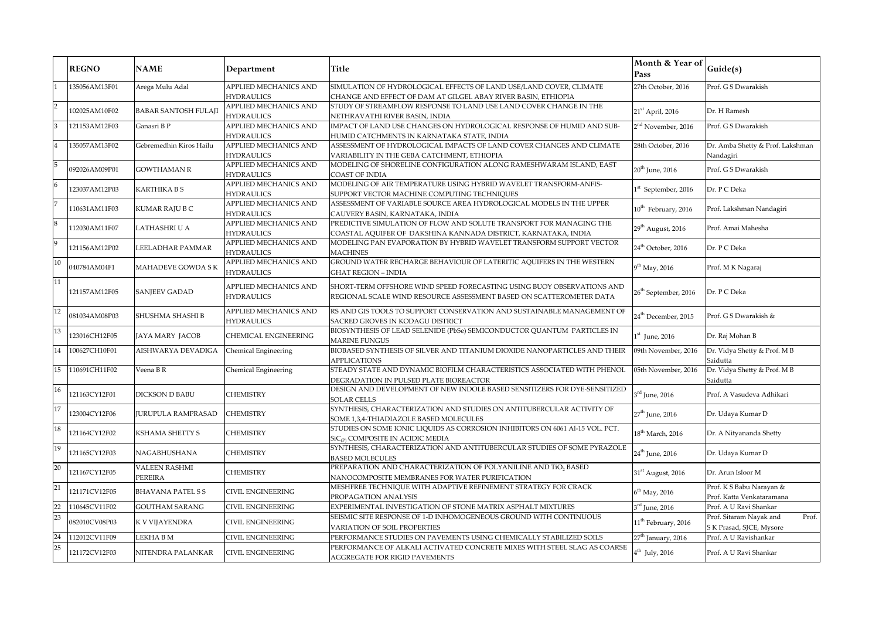|                | <b>REGNO</b>                              | <b>NAME</b>               | Department                                                     | <b>Title</b>                                                                  | Month & Year of<br>Pass         | Guide(s)                         |
|----------------|-------------------------------------------|---------------------------|----------------------------------------------------------------|-------------------------------------------------------------------------------|---------------------------------|----------------------------------|
|                | 135056AM13F01                             | Arega Mulu Adal           | APPLIED MECHANICS AND                                          | SIMULATION OF HYDROLOGICAL EFFECTS OF LAND USE/LAND COVER, CLIMATE            | 27th October, 2016              | Prof. G S Dwarakish              |
|                |                                           |                           | <b>HYDRAULICS</b>                                              | CHANGE AND EFFECT OF DAM AT GILGEL ABAY RIVER BASIN, ETHIOPIA                 |                                 |                                  |
| $\overline{2}$ |                                           | BABAR SANTOSH FULAJI      | APPLIED MECHANICS AND                                          | STUDY OF STREAMFLOW RESPONSE TO LAND USE LAND COVER CHANGE IN THE             | $21st$ April, 2016              | Dr. H Ramesh                     |
|                | 102025AM10F02                             |                           | <b>HYDRAULICS</b>                                              | NETHRAVATHI RIVER BASIN, INDIA                                                |                                 |                                  |
| 3              | 121153AM12F03                             | Ganasri B P               | APPLIED MECHANICS AND                                          | IMPACT OF LAND USE CHANGES ON HYDROLOGICAL RESPONSE OF HUMID AND SUB-         | 2 <sup>nd</sup> November, 2016  | Prof. G S Dwarakish              |
|                |                                           |                           | <b>HYDRAULICS</b>                                              | HUMID CATCHMENTS IN KARNATAKA STATE, INDIA                                    |                                 |                                  |
|                | 135057AM13F02                             | Gebremedhin Kiros Hailu   | APPLIED MECHANICS AND                                          | ASSESSMENT OF HYDROLOGICAL IMPACTS OF LAND COVER CHANGES AND CLIMATE          | 28th October, 2016              | Dr. Amba Shetty & Prof. Lakshman |
|                |                                           |                           | <b>HYDRAULICS</b>                                              | VARIABILITY IN THE GEBA CATCHMENT, ETHIOPIA                                   |                                 | Nandagiri                        |
|                | 092026AM09P01                             | <b>GOWTHAMAN R</b>        | APPLIED MECHANICS AND                                          | MODELING OF SHORELINE CONFIGURATION ALONG RAMESHWARAM ISLAND, EAST            | $20th$ June, 2016               | Prof. G S Dwarakish              |
|                |                                           |                           | <b>HYDRAULICS</b>                                              | <b>COAST OF INDIA</b>                                                         |                                 |                                  |
|                | 123037AM12P03                             | KARTHIKA B S              | APPLIED MECHANICS AND                                          | MODELING OF AIR TEMPERATURE USING HYBRID WAVELET TRANSFORM-ANFIS-             | <sup>st</sup> September, 2016   | Dr. P C Deka                     |
|                |                                           |                           | <b>HYDRAULICS</b>                                              | SUPPORT VECTOR MACHINE COMPUTING TECHNIQUES                                   |                                 |                                  |
|                | 110631AM11F03                             | KUMAR RAJU B C            | APPLIED MECHANICS AND                                          | ASSESSMENT OF VARIABLE SOURCE AREA HYDROLOGICAL MODELS IN THE UPPER           | 10 <sup>th</sup> February, 2016 | Prof. Lakshman Nandagiri         |
|                |                                           |                           | <b>HYDRAULICS</b>                                              | CAUVERY BASIN, KARNATAKA, INDIA                                               |                                 |                                  |
|                | 112030AM11F07                             | LATHASHRI U A             | APPLIED MECHANICS AND                                          | PREDICTIVE SIMULATION OF FLOW AND SOLUTE TRANSPORT FOR MANAGING THE           | 29 <sup>th</sup> August, 2016   | Prof. Amai Mahesha               |
|                |                                           |                           | <b>HYDRAULICS</b>                                              | COASTAL AQUIFER OF DAKSHINA KANNADA DISTRICT, KARNATAKA, INDIA                |                                 |                                  |
| $\overline{9}$ | 121156AM12P02                             | EELADHAR PAMMAR           | APPLIED MECHANICS AND                                          | MODELING PAN EVAPORATION BY HYBRID WAVELET TRANSFORM SUPPORT VECTOR           | 24 <sup>th</sup> October, 2016  | Dr. P C Deka                     |
|                |                                           |                           | <b>HYDRAULICS</b>                                              | <b>MACHINES</b>                                                               |                                 |                                  |
| $10\,$         | 040784AM04F1                              | MAHADEVE GOWDA S K        | APPLIED MECHANICS AND                                          | GROUND WATER RECHARGE BEHAVIOUR OF LATERITIC AQUIFERS IN THE WESTERN          |                                 | Prof. M K Nagaraj                |
|                |                                           |                           | <b>HYDRAULICS</b>                                              | <b>GHAT REGION - INDIA</b>                                                    | 9 <sup>th</sup> May, 2016       |                                  |
| 11             |                                           |                           | APPLIED MECHANICS AND                                          | SHORT-TERM OFFSHORE WIND SPEED FORECASTING USING BUOY OBSERVATIONS AND        | $26^{\rm th}$ September, 2016   | Dr. P C Deka                     |
|                | 121157AM12F05                             | SANJEEV GADAD             | <b>HYDRAULICS</b>                                              | REGIONAL SCALE WIND RESOURCE ASSESSMENT BASED ON SCATTEROMETER DATA           |                                 |                                  |
|                |                                           |                           |                                                                |                                                                               |                                 |                                  |
| 12             | 081034AM08P03                             | SHUSHMA SHASHI B          | APPLIED MECHANICS AND                                          | RS AND GIS TOOLS TO SUPPORT CONSERVATION AND SUSTAINABLE MANAGEMENT OF        | 24 <sup>th</sup> December, 2015 | Prof. G S Dwarakish &            |
|                |                                           |                           | <b>HYDRAULICS</b>                                              | SACRED GROVES IN KODAGU DISTRICT                                              |                                 |                                  |
| $13\,$         | 123016CH12F05                             | JAYA MARY JACOB           | CHEMICAL ENGINEERING                                           | BIOSYNTHESIS OF LEAD SELENIDE (PbSe) SEMICONDUCTOR QUANTUM PARTICLES IN       | $1st$ June, 2016                | Dr. Raj Mohan B                  |
|                |                                           |                           |                                                                | <b>MARINE FUNGUS</b>                                                          |                                 |                                  |
| 14             | 100627CH10F01                             | AISHWARYA DEVADIGA        | Chemical Engineering                                           | BIOBASED SYNTHESIS OF SILVER AND TITANIUM DIOXIDE NANOPARTICLES AND THEIR     | 09th November, 2016             | Dr. Vidya Shetty & Prof. M B     |
|                |                                           |                           |                                                                | <b>APPLICATIONS</b>                                                           |                                 | Saidutta                         |
| 15             | 110691CH11F02                             | Veena B R                 | Chemical Engineering                                           | STEADY STATE AND DYNAMIC BIOFILM CHARACTERISTICS ASSOCIATED WITH PHENOL       | 05th November, 2016             | Dr. Vidya Shetty & Prof. M B     |
|                |                                           |                           |                                                                | DEGRADATION IN PULSED PLATE BIOREACTOR                                        |                                 | Saidutta                         |
| 16             | 121163CY12F01                             | DICKSON D BABU            | CHEMISTRY                                                      | DESIGN AND DEVELOPMENT OF NEW INDOLE BASED SENSITIZERS FOR DYE-SENSITIZED     | $3^{\rm rd}$ June, 2016         | Prof. A Vasudeva Adhikari        |
|                |                                           |                           |                                                                | <b>SOLAR CELLS</b>                                                            |                                 |                                  |
| 17             | 123004CY12F06                             | <b>JURUPULA RAMPRASAD</b> | <b>CHEMISTRY</b>                                               | SYNTHESIS, CHARACTERIZATION AND STUDIES ON ANTITUBERCULAR ACTIVITY OF         | $27^{\rm th}$ June, 2016        | Dr. Udaya Kumar D                |
|                |                                           |                           |                                                                | SOME 1,3,4-THIADIAZOLE BASED MOLECULES                                        |                                 |                                  |
| 18             | 121164CY12F02                             | KSHAMA SHETTY S           | <b>CHEMISTRY</b>                                               | STUDIES ON SOME IONIC LIQUIDS AS CORROSION INHIBITORS ON 6061 Al-15 VOL. PCT. | $18^{\text{th}}$ March, 2016    | Dr. A Nityananda Shetty          |
|                |                                           |                           | SiC <sub>(P)</sub> COMPOSITE IN ACIDIC MEDIA                   |                                                                               |                                 |                                  |
| 19             | 121165CY12F03                             | NAGABHUSHANA              | <b>CHEMISTRY</b>                                               | SYNTHESIS, CHARACTERIZATION AND ANTITUBERCULAR STUDIES OF SOME PYRAZOLE       | $24^{\rm th}$ June, 2016        | Dr. Udaya Kumar D                |
|                |                                           |                           | <b>BASED MOLECULES</b>                                         |                                                                               |                                 |                                  |
| 20             | 121167CY12F05                             | <b>VALEEN RASHMI</b>      | <b>CHEMISTRY</b>                                               | PREPARATION AND CHARACTERIZATION OF POLYANILINE AND TiO, BASED                |                                 | Dr. Arun Isloor M                |
|                |                                           | PEREIRA                   |                                                                | NANOCOMPOSITE MEMBRANES FOR WATER PURIFICATION                                | 31 <sup>st</sup> August, 2016   |                                  |
| 21             | 121171CV12F05<br><b>BHAVANA PATEL S S</b> | CIVIL ENGINEERING         | MESHFREE TECHNIQUE WITH ADAPTIVE REFINEMENT STRATEGY FOR CRACK | $6^{\rm th}$ May, 2016                                                        | Prof. K S Babu Narayan &        |                                  |
|                |                                           |                           | PROPAGATION ANALYSIS                                           |                                                                               | Prof. Katta Venkataramana       |                                  |
| 22             | 110645CV11F02                             | <b>GOUTHAM SARANG</b>     | <b>CIVIL ENGINEERING</b>                                       | EXPERIMENTAL INVESTIGATION OF STONE MATRIX ASPHALT MIXTURES                   | 3 <sup>rd</sup> June, 2016      | Prof. A U Ravi Shankar           |
| 23             | 082010CV08P03                             | K V VIJAYENDRA            | CIVIL ENGINEERING                                              | SEISMIC SITE RESPONSE OF 1-D INHOMOGENEOUS GROUND WITH CONTINUOUS             | 11 <sup>th</sup> February, 2016 | Prof. Sitaram Nayak and<br>Prof. |
|                |                                           |                           |                                                                | VARIATION OF SOIL PROPERTIES                                                  |                                 | S K Prasad, SJCE, Mysore         |
| 24             | 112012CV11F09                             | LEKHA B M                 | CIVIL ENGINEERING                                              | PERFORMANCE STUDIES ON PAVEMENTS USING CHEMICALLY STABILIZED SOILS            | 27 <sup>th</sup> January, 2016  | Prof. A U Ravishankar            |
| 25             |                                           |                           |                                                                | PERFORMANCE OF ALKALI ACTIVATED CONCRETE MIXES WITH STEEL SLAG AS COARSE      |                                 |                                  |
|                | 121172CV12F03                             | NITENDRA PALANKAR         | CIVIL ENGINEERING                                              | AGGREGATE FOR RIGID PAVEMENTS                                                 | $4^{\rm th}$ July, 2016         | Prof. A U Ravi Shankar           |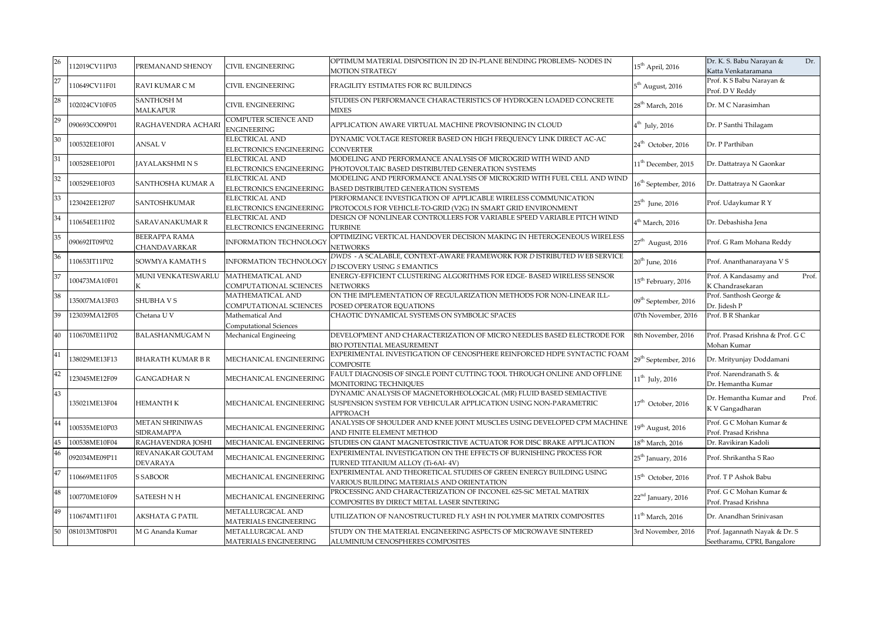| 26 | 112019CV11P03 | PREMANAND SHENOY                     | <b>CIVIL ENGINEERING</b>                         | OPTIMUM MATERIAL DISPOSITION IN 2D IN-PLANE BENDING PROBLEMS-NODES IN<br><b>MOTION STRATEGY</b>                                                    | $15^{\rm th}$ April, 2016        | Dr. K. S. Babu Narayan &<br>Dr.<br>Katta Venkataramana       |
|----|---------------|--------------------------------------|--------------------------------------------------|----------------------------------------------------------------------------------------------------------------------------------------------------|----------------------------------|--------------------------------------------------------------|
|    | 110649CV11F01 | RAVI KUMAR CM                        | <b>CIVIL ENGINEERING</b>                         | FRAGILITY ESTIMATES FOR RC BUILDINGS                                                                                                               | $5^{\rm th}$ August, 2016        | Prof. K S Babu Narayan &<br>Prof. D V Reddy                  |
| 28 | 102024CV10F05 | <b>SANTHOSH M</b><br>MALKAPUR        | CIVIL ENGINEERING                                | STUDIES ON PERFORMANCE CHARACTERISTICS OF HYDROGEN LOADED CONCRETE<br><b>MIXES</b>                                                                 | $28^{\rm th}$ March, 2016        | Dr. M C Narasimhan                                           |
| 29 | 090693CO09P01 | RAGHAVENDRA ACHARI                   | COMPUTER SCIENCE AND<br><b>ENGINEERING</b>       | APPLICATION AWARE VIRTUAL MACHINE PROVISIONING IN CLOUD                                                                                            | $4^{\text{th}}$ July, 2016       | Dr. P Santhi Thilagam                                        |
| 30 | 100532EE10F01 | ANSAL V                              | <b>ELECTRICAL AND</b><br>ELECTRONICS ENGINEERING | DYNAMIC VOLTAGE RESTORER BASED ON HIGH FREQUENCY LINK DIRECT AC-AC<br><b>CONVERTER</b>                                                             | 24 <sup>th</sup> October, 2016   | Dr. P Parthiban                                              |
| 31 | 100528EE10P01 | <b>JAYALAKSHMI N S</b>               | <b>ELECTRICAL AND</b><br>ELECTRONICS ENGINEERING | MODELING AND PERFORMANCE ANALYSIS OF MICROGRID WITH WIND AND<br>PHOTOVOLTAIC BASED DISTRIBUTED GENERATION SYSTEMS                                  | 11 <sup>th</sup> December, 2015  | Dr. Dattatraya N Gaonkar                                     |
| 32 | 100529EE10F03 | SANTHOSHA KUMAR A                    | <b>ELECTRICAL AND</b><br>ELECTRONICS ENGINEERING | MODELING AND PERFORMANCE ANALYSIS OF MICROGRID WITH FUEL CELL AND WIND<br>BASED DISTRIBUTED GENERATION SYSTEMS                                     | $16^{\rm th}$ September, 2016    | Dr. Dattatraya N Gaonkar                                     |
| 33 | 123042EE12F07 | SANTOSHKUMAR                         | <b>ELECTRICAL AND</b><br>ELECTRONICS ENGINEERING | PERFORMANCE INVESTIGATION OF APPLICABLE WIRELESS COMMUNICATION<br>PROTOCOLS FOR VEHICLE-TO-GRID (V2G) IN SMART GRID ENVIRONMENT                    | $25^{\text{th}}$ June, 2016      | Prof. Udaykumar R Y                                          |
| 34 | 110654EE11F02 | SARAVANAKUMAR R                      | <b>ELECTRICAL AND</b><br>ELECTRONICS ENGINEERING | DESIGN OF NONLINEAR CONTROLLERS FOR VARIABLE SPEED VARIABLE PITCH WIND<br><b>TURBINE</b>                                                           | $4^{\text{th}}$ March, 2016      | Dr. Debashisha Jena                                          |
| 35 | 090692IT09P02 | <b>BEERAPPA RAMA</b><br>CHANDAVARKAR | <b>INFORMATION TECHNOLOGY</b>                    | OPTIMIZING VERTICAL HANDOVER DECISION MAKING IN HETEROGENEOUS WIRELESS<br><b>NETWORKS</b>                                                          | $27^{\rm th}$ August, 2016       | Prof. G Ram Mohana Reddy                                     |
| 36 | 110653IT11P02 | SOWMYA KAMATH S                      | INFORMATION TECHNOLOGY                           | DWDS - A SCALABLE, CONTEXT-AWARE FRAMEWORK FOR D ISTRIBUTED WEB SERVICE<br>D ISCOVERY USING S EMANTICS                                             | $20^{\rm th}$ June, 2016         | Prof. Ananthanarayana V S                                    |
| 37 | 100473MA10F01 | MUNI VENKATESWARLU                   | MATHEMATICAL AND<br>COMPUTATIONAL SCIENCES       | ENERGY-EFFICIENT CLUSTERING ALGORITHMS FOR EDGE- BASED WIRELESS SENSOR<br><b>NETWORKS</b>                                                          | 15 <sup>th</sup> February, 2016  | Prof. A Kandasamy and<br>Prof.<br>K Chandrasekaran           |
| 38 | 135007MA13F03 | SHUBHA V S                           | MATHEMATICAL AND<br>COMPUTATIONAL SCIENCES       | ON THE IMPLEMENTATION OF REGULARIZATION METHODS FOR NON-LINEAR ILL-<br>POSED OPERATOR EQUATIONS                                                    | 09 <sup>th</sup> September, 2016 | Prof. Santhosh George &<br>Dr. Jidesh P                      |
|    | 123039MA12F05 | Chetana U V                          | Mathematical And<br>Computational Sciences       | CHAOTIC DYNAMICAL SYSTEMS ON SYMBOLIC SPACES                                                                                                       | 07th November, 2016              | Prof. B R Shankar                                            |
|    | 110670ME11P02 | <b>BALASHANMUGAM N</b>               | Mechanical Engineeing                            | DEVELOPMENT AND CHARACTERIZATION OF MICRO NEEDLES BASED ELECTRODE FOR<br><b>BIO POTENTIAL MEASUREMENT</b>                                          | 8th November, 2016               | Prof. Prasad Krishna & Prof. G C<br>Mohan Kumar              |
| 41 | 138029ME13F13 | <b>BHARATH KUMAR B R</b>             | MECHANICAL ENGINEERING                           | EXPERIMENTAL INVESTIGATION OF CENOSPHERE REINFORCED HDPE SYNTACTIC FOAM<br><b>COMPOSITE</b>                                                        | $29^{\text{th}}$ September, 2016 | Dr. Mrityunjay Doddamani                                     |
| 42 | 123045ME12F09 | <b>GANGADHAR N</b>                   | MECHANICAL ENGINEERING                           | FAULT DIAGNOSIS OF SINGLE POINT CUTTING TOOL THROUGH ONLINE AND OFFLINE<br>MONITORING TECHNIQUES                                                   | $11^{\rm th}$ July, 2016         | Prof. Narendranath S. &<br>Dr. Hemantha Kumar                |
| 43 | 135021ME13F04 | <b>HEMANTH K</b>                     | MECHANICAL ENGINEERING                           | DYNAMIC ANALYSIS OF MAGNETORHEOLOGICAL (MR) FLUID BASED SEMIACTIVE<br>SUSPENSION SYSTEM FOR VEHICULAR APPLICATION USING NON-PARAMETRIC<br>APPROACH | $17^{\rm th}$ October, 2016      | Dr. Hemantha Kumar and<br>Prof.<br>K V Gangadharan           |
| 44 | 100535ME10P03 | METAN SHRINIWAS<br>SIDRAMAPPA        | MECHANICAL ENGINEERING                           | ANALYSIS OF SHOULDER AND KNEE JOINT MUSCLES USING DEVELOPED CPM MACHINE<br>AND FINITE ELEMENT METHOD                                               | 19 <sup>th</sup> August, 2016    | Prof. G C Mohan Kumar &<br>Prof. Prasad Krishna              |
| 45 | 100538ME10F04 | RAGHAVENDRA JOSHI                    | MECHANICAL ENGINEERING                           | STUDIES ON GIANT MAGNETOSTRICTIVE ACTUATOR FOR DISC BRAKE APPLICATION                                                                              | $18^{th}$ March, 2016            | Dr. Ravikiran Kadoli                                         |
| 46 | 092034ME09P11 | REVANAKAR GOUTAM<br>DEVARAYA         | MECHANICAL ENGINEERING                           | EXPERIMENTAL INVESTIGATION ON THE EFFECTS OF BURNISHING PROCESS FOR<br>TURNED TITANIUM ALLOY (Ti-6Al-4V)                                           | 25 <sup>th</sup> January, 2016   | Prof. Shrikantha S Rao                                       |
| 47 | 110669ME11F05 | <b>S SABOOR</b>                      | MECHANICAL ENGINEERING                           | EXPERIMENTAL AND THEORETICAL STUDIES OF GREEN ENERGY BUILDING USING<br>VARIOUS BUILDING MATERIALS AND ORIENTATION                                  | $15^{\rm th}$ October, 2016      | Prof. TP Ashok Babu                                          |
| 48 | 100770ME10F09 | <b>SATEESH N H</b>                   | MECHANICAL ENGINEERING                           | PROCESSING AND CHARACTERIZATION OF INCONEL 625-SiC METAL MATRIX<br>COMPOSITES BY DIRECT METAL LASER SINTERING                                      | 22 <sup>nd</sup> January, 2016   | Prof. G C Mohan Kumar &<br>Prof. Prasad Krishna              |
| 49 | 110674MT11F01 | AKSHATA G PATIL                      | METALLURGICAL AND<br>MATERIALS ENGINEERING       | UTILIZATION OF NANOSTRUCTURED FLY ASH IN POLYMER MATRIX COMPOSITES                                                                                 | 11 <sup>th</sup> March, 2016     | Dr. Anandhan Srinivasan                                      |
|    | 081013MT08P01 | M G Ananda Kumar                     | METALLURGICAL AND<br>MATERIALS ENGINEERING       | STUDY ON THE MATERIAL ENGINEERING ASPECTS OF MICROWAVE SINTERED<br>ALUMINIUM CENOSPHERES COMPOSITES                                                | 3rd November, 2016               | Prof. Jagannath Nayak & Dr. S<br>Seetharamu, CPRI, Bangalore |